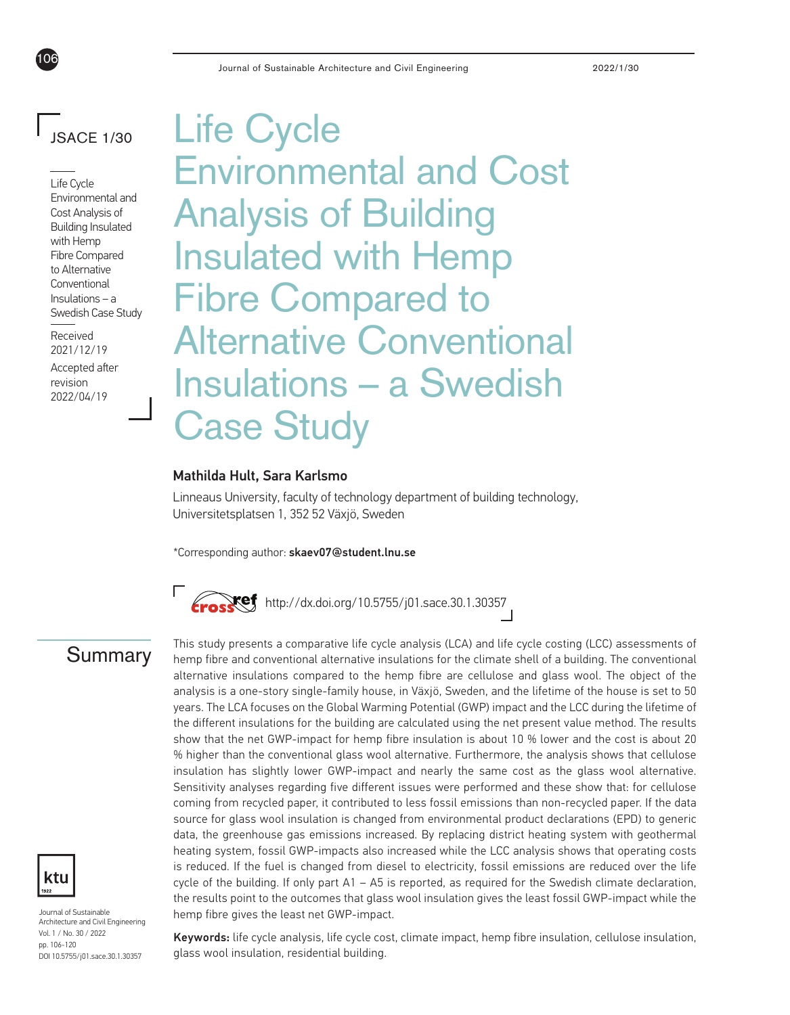# JSACE 1/30

106

Life Cycle Environmental and Cost Analysis of Building Insulated with Hemp Fibre Compared to Alternative **Conventional** Insulations – a Swedish Case Study

Received 2021/12/19

Accepted after revision 2022/04/19

Life Cycle Environmental and Cost Analysis of Building Insulated with Hemp Fibre Compared to Alternative Conventional Insulations – a Swedish Case Study

#### Mathilda Hult, Sara Karlsmo

Linneaus University, faculty of technology department of building technology, Universitetsplatsen 1, 352 52 Växjö, Sweden

\*Corresponding author: skaev07@student.lnu.se





Journal of Sustainable Architecture and Civil Engineering Vol. 1 / No. 30 / 2022 pp. 106-120 DOI 10.5755/j01.sace.30.1.30357

This study presents a comparative life cycle analysis (LCA) and life cycle costing (LCC) assessments of<br>**Summary** hemp fibre and conventional alternative insulations for the climate shell of a building. The conventional alternative insulations compared to the hemp fibre are cellulose and glass wool. The object of the analysis is a one-story single-family house, in Växjö, Sweden, and the lifetime of the house is set to 50 years. The LCA focuses on the Global Warming Potential (GWP) impact and the LCC during the lifetime of the different insulations for the building are calculated using the net present value method. The results show that the net GWP-impact for hemp fibre insulation is about 10 % lower and the cost is about 20 % higher than the conventional glass wool alternative. Furthermore, the analysis shows that cellulose insulation has slightly lower GWP-impact and nearly the same cost as the glass wool alternative. Sensitivity analyses regarding five different issues were performed and these show that: for cellulose coming from recycled paper, it contributed to less fossil emissions than non-recycled paper. If the data source for glass wool insulation is changed from environmental product declarations (EPD) to generic data, the greenhouse gas emissions increased. By replacing district heating system with geothermal heating system, fossil GWP-impacts also increased while the LCC analysis shows that operating costs is reduced. If the fuel is changed from diesel to electricity, fossil emissions are reduced over the life cycle of the building. If only part  $A1 - A5$  is reported, as required for the Swedish climate declaration, the results point to the outcomes that glass wool insulation gives the least fossil GWP-impact while the hemp fibre gives the least net GWP-impact.

> Keywords: life cycle analysis, life cycle cost, climate impact, hemp fibre insulation, cellulose insulation, glass wool insulation, residential building.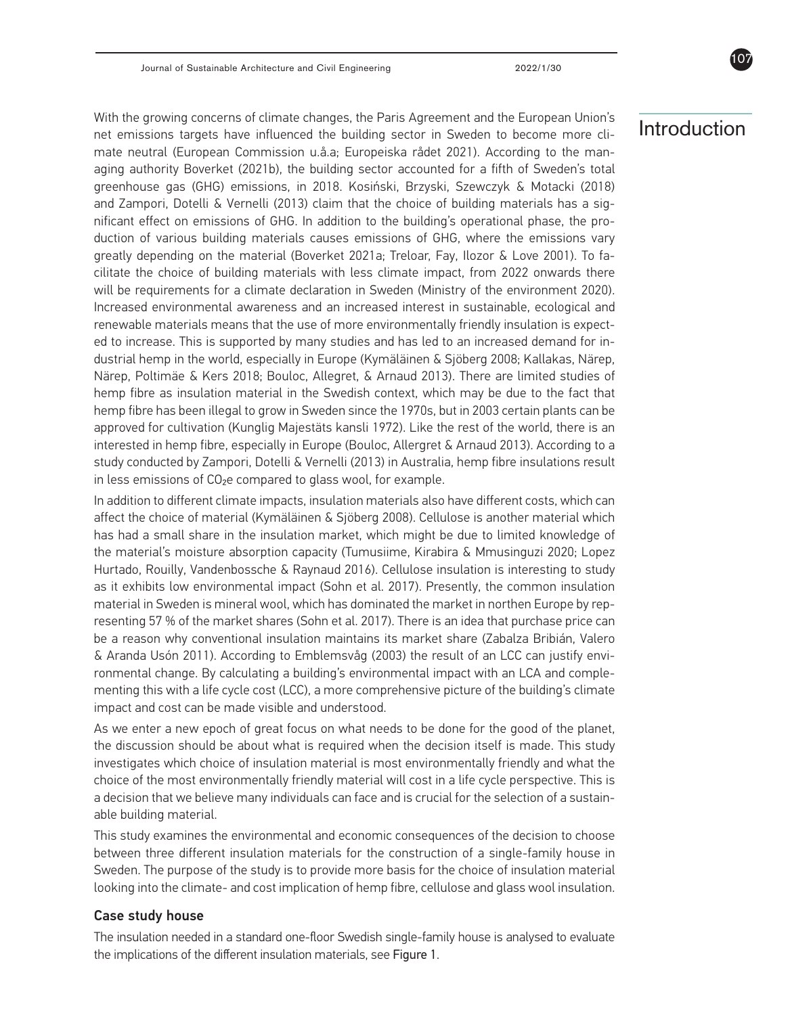With the growing concerns of climate changes, the Paris Agreement and the European Union's net emissions targets have influenced the building sector in Sweden to become more climate neutral (European Commission u.å.a; Europeiska rådet 2021). According to the managing authority Boverket (2021b), the building sector accounted for a fifth of Sweden's total greenhouse gas (GHG) emissions, in 2018. Kosiński, Brzyski, Szewczyk & Motacki (2018) and Zampori, Dotelli & Vernelli (2013) claim that the choice of building materials has a significant effect on emissions of GHG. In addition to the building's operational phase, the production of various building materials causes emissions of GHG, where the emissions vary greatly depending on the material (Boverket 2021a; Treloar, Fay, Ilozor & Love 2001). To facilitate the choice of building materials with less climate impact, from 2022 onwards there will be requirements for a climate declaration in Sweden (Ministry of the environment 2020). Increased environmental awareness and an increased interest in sustainable, ecological and renewable materials means that the use of more environmentally friendly insulation is expected to increase. This is supported by many studies and has led to an increased demand for industrial hemp in the world, especially in Europe (Kymäläinen & Sjöberg 2008; Kallakas, Närep, Närep, Poltimäe & Kers 2018; Bouloc, Allegret, & Arnaud 2013). There are limited studies of hemp fibre as insulation material in the Swedish context, which may be due to the fact that hemp fibre has been illegal to grow in Sweden since the 1970s, but in 2003 certain plants can be approved for cultivation (Kunglig Majestäts kansli 1972). Like the rest of the world, there is an interested in hemp fibre, especially in Europe (Bouloc, Allergret & Arnaud 2013). According to a study conducted by Zampori, Dotelli & Vernelli (2013) in Australia, hemp fibre insulations result in less emissions of CO2e compared to glass wool, for example.

In addition to different climate impacts, insulation materials also have different costs, which can affect the choice of material (Kymäläinen & Sjöberg 2008). Cellulose is another material which has had a small share in the insulation market, which might be due to limited knowledge of the material's moisture absorption capacity (Tumusiime, Kirabira & Mmusinguzi 2020; Lopez Hurtado, Rouilly, Vandenbossche & Raynaud 2016). Cellulose insulation is interesting to study as it exhibits low environmental impact (Sohn et al. 2017). Presently, the common insulation material in Sweden is mineral wool, which has dominated the market in northen Europe by representing 57 % of the market shares (Sohn et al. 2017). There is an idea that purchase price can be a reason why conventional insulation maintains its market share (Zabalza Bribián, Valero & Aranda Usón 2011). According to Emblemsvåg (2003) the result of an LCC can justify environmental change. By calculating a building's environmental impact with an LCA and complementing this with a life cycle cost (LCC), a more comprehensive picture of the building's climate impact and cost can be made visible and understood.

As we enter a new epoch of great focus on what needs to be done for the good of the planet, the discussion should be about what is required when the decision itself is made. This study investigates which choice of insulation material is most environmentally friendly and what the choice of the most environmentally friendly material will cost in a life cycle perspective. This is a decision that we believe many individuals can face and is crucial for the selection of a sustainable building material.

This study examines the environmental and economic consequences of the decision to choose between three different insulation materials for the construction of a single-family house in Sweden. The purpose of the study is to provide more basis for the choice of insulation material looking into the climate- and cost implication of hemp fibre, cellulose and glass wool insulation.

#### Case study house

The insulation needed in a standard one-floor Swedish single-family house is analysed to evaluate the implications of the different insulation materials, see Figure 1.

# Introduction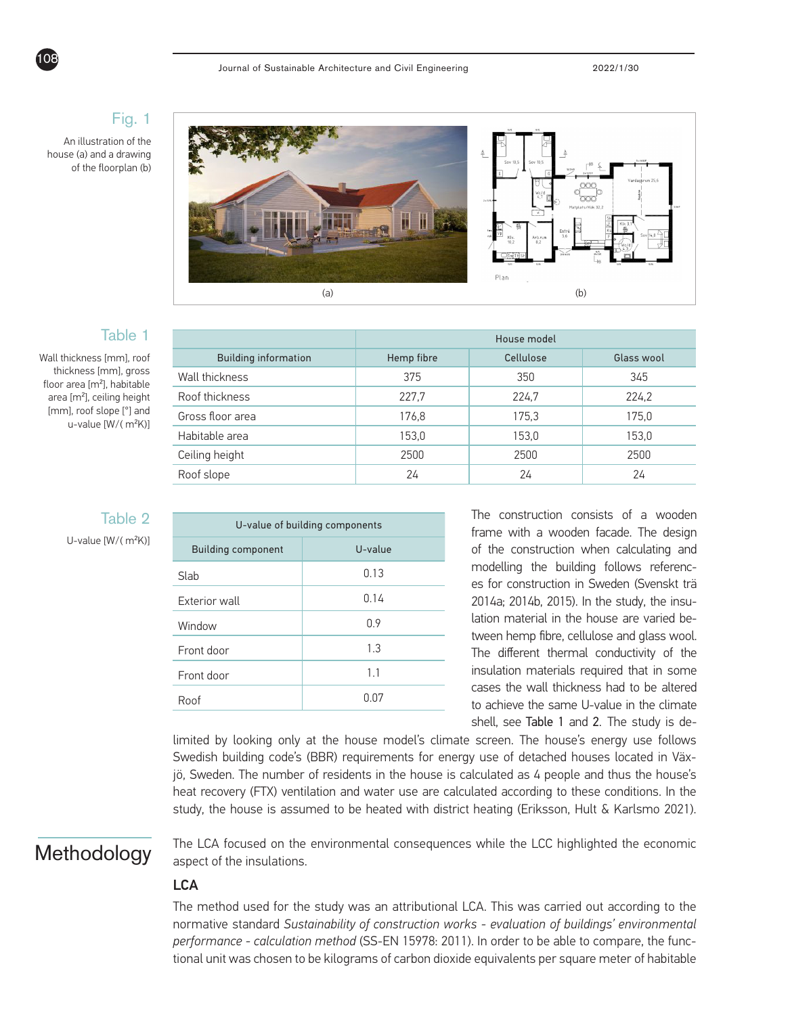### Fig. 1

An illustration of the house (a) and a drawing of the floorplan (b)



### Table 1

Table 2

U-value [W/( m²K)]

Wall thickness [mm], roof thickness [mm], gross floor area [m²], habitable area [m²], ceiling height [mm], roof slope [°] and u-value [W/( m²K)]

|                             | House model |           |            |  |  |
|-----------------------------|-------------|-----------|------------|--|--|
| <b>Building information</b> | Hemp fibre  | Cellulose | Glass wool |  |  |
| Wall thickness              | 375         | 350       | 345        |  |  |
| Roof thickness              | 227,7       | 224,7     | 224,2      |  |  |
| Gross floor area            | 176,8       | 175.3     | 175,0      |  |  |
| Habitable area              | 153,0       | 153,0     | 153,0      |  |  |
| Ceiling height              | 2500        | 2500      | 2500       |  |  |
| Roof slope                  | 24          | 24        | 24         |  |  |
|                             |             |           |            |  |  |

| U-value of building components |         |  |  |  |  |
|--------------------------------|---------|--|--|--|--|
| <b>Building component</b>      | U-value |  |  |  |  |
| Slah                           | 0.13    |  |  |  |  |
| <b>Exterior wall</b>           | 0.14    |  |  |  |  |
| Window                         | 0.9     |  |  |  |  |
| Front door                     | 1.3     |  |  |  |  |
| Front door                     | 1.1     |  |  |  |  |
| Roof                           | 0.07    |  |  |  |  |

The construction consists of a wooden frame with a wooden facade. The design of the construction when calculating and modelling the building follows references for construction in Sweden (Svenskt trä 2014a; 2014b, 2015). In the study, the insulation material in the house are varied between hemp fibre, cellulose and glass wool. The different thermal conductivity of the insulation materials required that in some cases the wall thickness had to be altered to achieve the same U-value in the climate shell, see Table 1 and 2. The study is de-

limited by looking only at the house model's climate screen. The house's energy use follows Swedish building code's (BBR) requirements for energy use of detached houses located in Växjö, Sweden. The number of residents in the house is calculated as 4 people and thus the house's heat recovery (FTX) ventilation and water use are calculated according to these conditions. In the study, the house is assumed to be heated with district heating (Eriksson, Hult & Karlsmo 2021).

# **Methodology**

The LCA focused on the environmental consequences while the LCC highlighted the economic aspect of the insulations.

# **LCA**

The method used for the study was an attributional LCA. This was carried out according to the normative standard *Sustainability of construction works - evaluation of buildings' environmental performance - calculation method* (SS-EN 15978: 2011). In order to be able to compare, the functional unit was chosen to be kilograms of carbon dioxide equivalents per square meter of habitable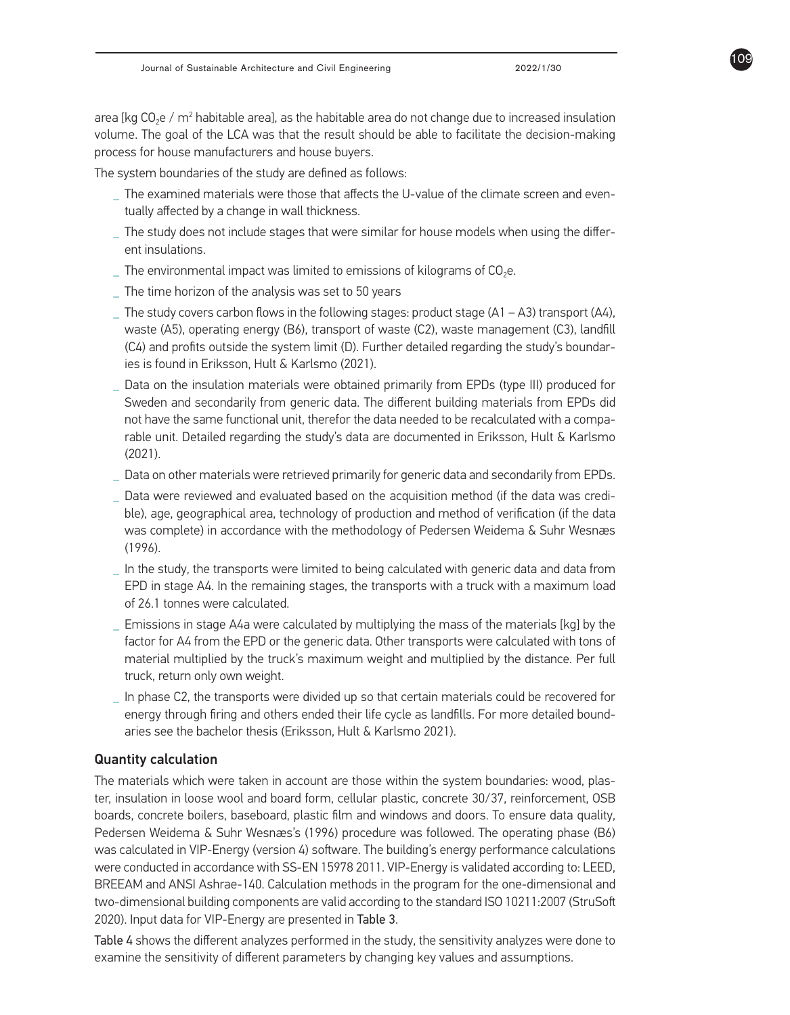area [kg CO<sub>2</sub>e / m<sup>2</sup> habitable area], as the habitable area do not change due to increased insulation volume. The goal of the LCA was that the result should be able to facilitate the decision-making process for house manufacturers and house buyers.

The system boundaries of the study are defined as follows:

- **\_** The examined materials were those that affects the U-value of the climate screen and eventually affected by a change in wall thickness.
- **\_** The study does not include stages that were similar for house models when using the different insulations.
- $\_$  The environmental impact was limited to emissions of kilograms of CO<sub>2</sub>e.
- **\_** The time horizon of the analysis was set to 50 years
- The study covers carbon flows in the following stages: product stage (A1 A3) transport (A4), waste (A5), operating energy (B6), transport of waste (C2), waste management (C3), landfill (C4) and profits outside the system limit (D). Further detailed regarding the study's boundaries is found in Eriksson, Hult & Karlsmo (2021).
- **\_** Data on the insulation materials were obtained primarily from EPDs (type III) produced for Sweden and secondarily from generic data. The different building materials from EPDs did not have the same functional unit, therefor the data needed to be recalculated with a comparable unit. Detailed regarding the study's data are documented in Eriksson, Hult & Karlsmo (2021).
- **\_** Data on other materials were retrieved primarily for generic data and secondarily from EPDs.
- **\_** Data were reviewed and evaluated based on the acquisition method (if the data was credible), age, geographical area, technology of production and method of verification (if the data was complete) in accordance with the methodology of Pedersen Weidema & Suhr Wesnæs (1996).
- **\_** In the study, the transports were limited to being calculated with generic data and data from EPD in stage A4. In the remaining stages, the transports with a truck with a maximum load of 26.1 tonnes were calculated.
- **\_** Emissions in stage A4a were calculated by multiplying the mass of the materials [kg] by the factor for A4 from the EPD or the generic data. Other transports were calculated with tons of material multiplied by the truck's maximum weight and multiplied by the distance. Per full truck, return only own weight.
- **\_** In phase C2, the transports were divided up so that certain materials could be recovered for energy through firing and others ended their life cycle as landfills. For more detailed boundaries see the bachelor thesis (Eriksson, Hult & Karlsmo 2021).

### Quantity calculation

The materials which were taken in account are those within the system boundaries: wood, plaster, insulation in loose wool and board form, cellular plastic, concrete 30/37, reinforcement, OSB boards, concrete boilers, baseboard, plastic film and windows and doors. To ensure data quality, Pedersen Weidema & Suhr Wesnæs's (1996) procedure was followed. The operating phase (B6) was calculated in VIP-Energy (version 4) software. The building's energy performance calculations were conducted in accordance with SS-EN 15978 2011. VIP-Energy is validated according to: LEED, BREEAM and ANSI Ashrae-140. Calculation methods in the program for the one-dimensional and two-dimensional building components are valid according to the standard ISO 10211:2007 (StruSoft 2020). Input data for VIP-Energy are presented in Table 3.

Table 4 shows the different analyzes performed in the study, the sensitivity analyzes were done to examine the sensitivity of different parameters by changing key values and assumptions.

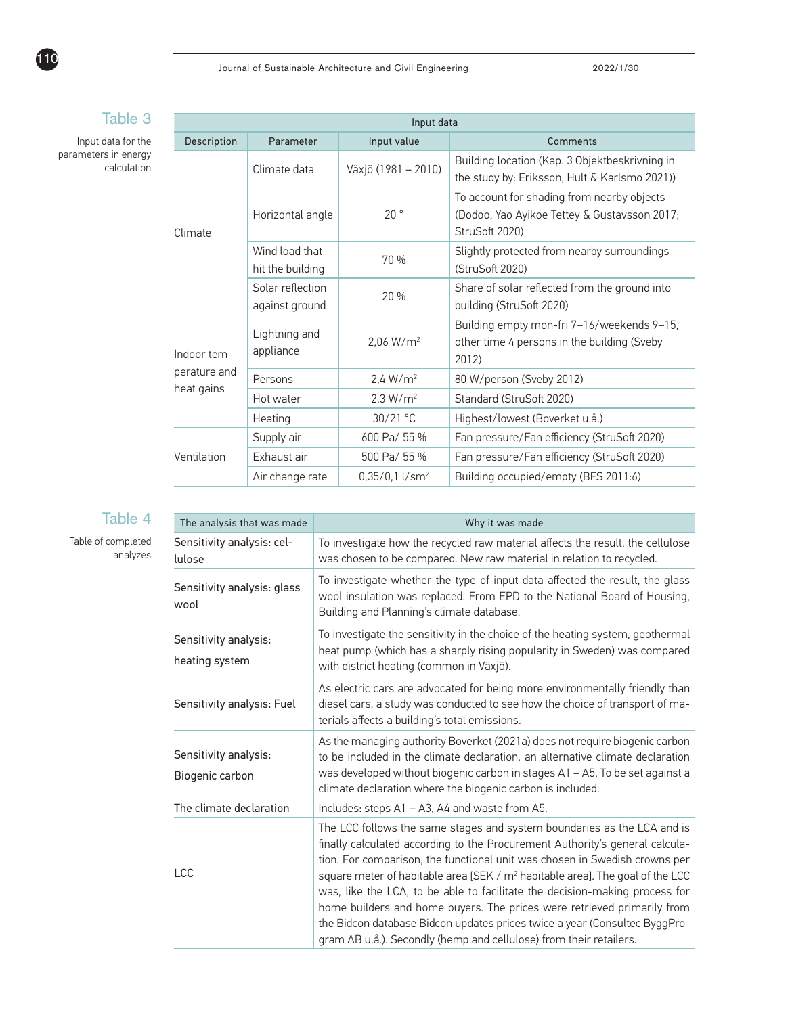|              | Input data                         |                              |                                                                                                              |  |  |  |  |  |
|--------------|------------------------------------|------------------------------|--------------------------------------------------------------------------------------------------------------|--|--|--|--|--|
| Description  | Parameter                          | Input value                  | Comments                                                                                                     |  |  |  |  |  |
|              | Climate data                       | Växjö (1981 - 2010)          | Building location (Kap. 3 Objektbeskrivning in<br>the study by: Eriksson, Hult & Karlsmo 2021))              |  |  |  |  |  |
| Climate      | Horizontal angle                   | 20°                          | To account for shading from nearby objects<br>(Dodoo, Yao Ayikoe Tettey & Gustavsson 2017;<br>StruSoft 2020) |  |  |  |  |  |
|              | Wind load that<br>hit the building | 70 %                         | Slightly protected from nearby surroundings<br>(StruSoft 2020)                                               |  |  |  |  |  |
|              | Solar reflection<br>against ground | 20 %                         | Share of solar reflected from the ground into<br>building (StruSoft 2020)                                    |  |  |  |  |  |
| Indoor tem-  | Lightning and<br>appliance         | 2,06 W/m <sup>2</sup>        | Building empty mon-fri 7-16/weekends 9-15,<br>other time 4 persons in the building (Sveby<br>2012)           |  |  |  |  |  |
| perature and | Persons                            | 2.4 W/m <sup>2</sup>         | 80 W/person (Sveby 2012)                                                                                     |  |  |  |  |  |
| heat gains   | Hot water                          | 2.3 W/m <sup>2</sup>         | Standard (StruSoft 2020)                                                                                     |  |  |  |  |  |
|              | Heating                            | 30/21 °C                     | Highest/lowest (Boverket u.å.)                                                                               |  |  |  |  |  |
|              | Supply air                         | 600 Pa/ 55 %                 | Fan pressure/Fan efficiency (StruSoft 2020)                                                                  |  |  |  |  |  |
| Ventilation  | Exhaust air                        | 500 Pa/ 55 %                 | Fan pressure/Fan efficiency (StruSoft 2020)                                                                  |  |  |  |  |  |
|              | Air change rate                    | $0.35/0.1$ l/sm <sup>2</sup> | Building occupied/empty (BFS 2011:6)                                                                         |  |  |  |  |  |
|              |                                    |                              |                                                                                                              |  |  |  |  |  |

# Table 3

Input data for parameters in ene calculat

# Table 4

#### Table of completed analyzes

| The analysis that was made<br>Why it was made |                                                                                                                                                                                                                                                                                                                                                                                                                                                                                                                                                                                                                                                  |  |
|-----------------------------------------------|--------------------------------------------------------------------------------------------------------------------------------------------------------------------------------------------------------------------------------------------------------------------------------------------------------------------------------------------------------------------------------------------------------------------------------------------------------------------------------------------------------------------------------------------------------------------------------------------------------------------------------------------------|--|
| Sensitivity analysis: cel-<br>lulose          | To investigate how the recycled raw material affects the result, the cellulose<br>was chosen to be compared. New raw material in relation to recycled.                                                                                                                                                                                                                                                                                                                                                                                                                                                                                           |  |
| Sensitivity analysis: glass<br>wool           | To investigate whether the type of input data affected the result, the glass<br>wool insulation was replaced. From EPD to the National Board of Housing,<br>Building and Planning's climate database.                                                                                                                                                                                                                                                                                                                                                                                                                                            |  |
| Sensitivity analysis:<br>heating system       | To investigate the sensitivity in the choice of the heating system, geothermal<br>heat pump (which has a sharply rising popularity in Sweden) was compared<br>with district heating (common in Växjö).                                                                                                                                                                                                                                                                                                                                                                                                                                           |  |
| Sensitivity analysis: Fuel                    | As electric cars are advocated for being more environmentally friendly than<br>diesel cars, a study was conducted to see how the choice of transport of ma-<br>terials affects a building's total emissions.                                                                                                                                                                                                                                                                                                                                                                                                                                     |  |
| Sensitivity analysis:<br>Biogenic carbon      | As the managing authority Boverket (2021a) does not require biogenic carbon<br>to be included in the climate declaration, an alternative climate declaration<br>was developed without biogenic carbon in stages A1 - A5. To be set against a<br>climate declaration where the biogenic carbon is included.                                                                                                                                                                                                                                                                                                                                       |  |
| The climate declaration                       | Includes: steps A1 - A3, A4 and waste from A5.                                                                                                                                                                                                                                                                                                                                                                                                                                                                                                                                                                                                   |  |
| <b>LCC</b>                                    | The LCC follows the same stages and system boundaries as the LCA and is<br>finally calculated according to the Procurement Authority's general calcula-<br>tion. For comparison, the functional unit was chosen in Swedish crowns per<br>square meter of habitable area [SEK / m <sup>2</sup> habitable area]. The goal of the LCC<br>was, like the LCA, to be able to facilitate the decision-making process for<br>home builders and home buyers. The prices were retrieved primarily from<br>the Bidcon database Bidcon updates prices twice a year (Consultec ByggPro-<br>gram AB u.å.). Secondly (hemp and cellulose) from their retailers. |  |

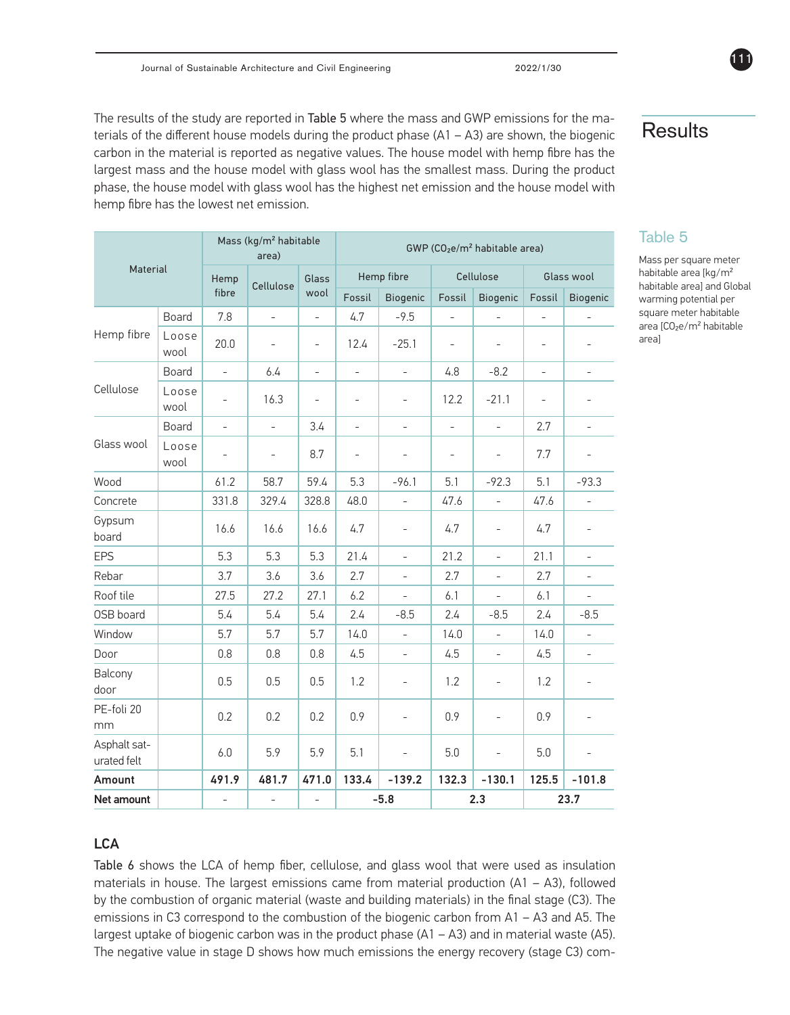The results of the study are reported in Table 5 where the mass and GWP emissions for the materials of the different house models during the product phase (A1 – A3) are shown, the biogenic carbon in the material is reported as negative values. The house model with hemp fibre has the largest mass and the house model with glass wool has the smallest mass. During the product phase, the house model with glass wool has the highest net emission and the house model with hemp fibre has the lowest net emission.

| Material                    |               |                          | Mass (kg/m <sup>2</sup> habitable<br>area) |                          | GWP (CO <sub>2</sub> e/m <sup>2</sup> habitable area) |                          |                          |                          |                          |                          |
|-----------------------------|---------------|--------------------------|--------------------------------------------|--------------------------|-------------------------------------------------------|--------------------------|--------------------------|--------------------------|--------------------------|--------------------------|
|                             |               | Hemp                     | Cellulose                                  | Glass                    |                                                       | Hemp fibre               |                          | Cellulose                |                          | Glass wool               |
|                             |               | fibre                    |                                            |                          | Fossil                                                | Biogenic                 | Fossil                   | Biogenic                 | Fossil                   | Biogenic                 |
|                             | Board         | 7.8                      | $\overline{\phantom{a}}$                   | $\blacksquare$           | 4.7                                                   | $-9.5$                   | $\blacksquare$           | $\blacksquare$           | $\overline{\phantom{0}}$ | $\blacksquare$           |
| Hemp fibre                  | Loose<br>wool | 20.0                     | $\overline{\phantom{a}}$                   | $\overline{\phantom{a}}$ | 12.4                                                  | $-25.1$                  | $\overline{\phantom{a}}$ | $\overline{\phantom{a}}$ | $\overline{\phantom{0}}$ | ۰                        |
|                             | Board         | $\overline{\phantom{0}}$ | 6.4                                        | ÷,                       | $\overline{a}$                                        | $\overline{a}$           | 4.8                      | $-8.2$                   | ÷,                       | $\overline{\phantom{0}}$ |
| Cellulose                   | Loose<br>wool | ÷,                       | 16.3                                       | $\overline{a}$           | $\overline{a}$                                        | ÷,                       | 12.2                     | $-21.1$                  |                          | ÷.                       |
|                             | Board         | $\overline{a}$           | $\frac{1}{2}$                              | 3.4                      | $\frac{1}{2}$                                         | $\overline{a}$           | $\overline{a}$           | $\frac{1}{2}$            | 2.7                      | $\overline{a}$           |
| Glass wool                  | Loose<br>wool | ÷,                       | $\bar{\phantom{a}}$                        | 8.7                      | $\overline{a}$                                        | $\qquad \qquad -$        | $\qquad \qquad -$        | $\qquad \qquad -$        | 7.7                      | ÷.                       |
| Wood                        |               | 61.2                     | 58.7                                       | 59.4                     | 5.3                                                   | $-96.1$                  | 5.1                      | $-92.3$                  | 5.1                      | $-93.3$                  |
| Concrete                    |               | 331.8                    | 329.4                                      | 328.8                    | 48.0                                                  | $\overline{\phantom{0}}$ | 47.6                     | $\overline{\phantom{0}}$ | 47.6                     | $\overline{\phantom{0}}$ |
| Gypsum<br>board             |               | 16.6                     | 16.6                                       | 16.6                     | 4.7                                                   |                          | 4.7                      |                          | 4.7                      |                          |
| <b>EPS</b>                  |               | 5.3                      | 5.3                                        | 5.3                      | 21.4                                                  | $\overline{\phantom{0}}$ | 21.2                     | $\blacksquare$           | 21.1                     | $\bar{\phantom{a}}$      |
| Rebar                       |               | 3.7                      | 3.6                                        | 3.6                      | 2.7                                                   | $\overline{a}$           | 2.7                      | $\overline{a}$           | 2.7                      |                          |
| Roof tile                   |               | 27.5                     | 27.2                                       | 27.1                     | 6.2                                                   | $\frac{1}{2}$            | 6.1                      | $\overline{\phantom{a}}$ | 6.1                      | $\overline{a}$           |
| OSB board                   |               | 5.4                      | 5.4                                        | 5.4                      | 2.4                                                   | $-8.5$                   | 2.4                      | $-8.5$                   | 2.4                      | $-8.5$                   |
| Window                      |               | 5.7                      | 5.7                                        | 5.7                      | 14.0                                                  | $\overline{a}$           | 14.0                     | $\overline{\phantom{0}}$ | 14.0                     | $\frac{1}{2}$            |
| Door                        |               | 0.8                      | 0.8                                        | 0.8                      | 4.5                                                   | ÷,                       | 4.5                      | $\overline{\phantom{0}}$ | 4.5                      | $\overline{\phantom{0}}$ |
| Balcony<br>door             |               | 0.5                      | 0.5                                        | 0.5                      | 1.2                                                   | $\overline{\phantom{0}}$ | 1.2                      | $\qquad \qquad -$        | 1.2                      | $\overline{\phantom{0}}$ |
| PE-foli 20<br>mm            |               | 0.2                      | 0.2                                        | 0.2                      | 0.9                                                   | ÷,                       | 0.9                      | ÷,                       | 0.9                      | ÷.                       |
| Asphalt sat-<br>urated felt |               | 6.0                      | 5.9                                        | 5.9                      | 5.1                                                   | ÷,                       | 5.0                      | L,                       | 5.0                      |                          |
| Amount                      |               | 491.9                    | 481.7                                      | 471.0                    | 133.4                                                 | $-139.2$                 | 132.3                    | $-130.1$                 | 125.5                    | $-101.8$                 |
| Net amount                  |               | $\overline{a}$           | $\frac{1}{2}$                              | ÷                        |                                                       | $-5.8$                   |                          | 2.3                      |                          | 23.7                     |

# **Results**

111

Table 5

Mass per square meter habitable area [kg/m² habitable area] and Global warming potential per square meter habitable area [CO₂e/m² habitable area]

# **LCA**

Table 6 shows the LCA of hemp fiber, cellulose, and glass wool that were used as insulation materials in house. The largest emissions came from material production  $(A1 - A3)$ , followed by the combustion of organic material (waste and building materials) in the final stage (C3). The emissions in C3 correspond to the combustion of the biogenic carbon from A1 – A3 and A5. The largest uptake of biogenic carbon was in the product phase (A1 – A3) and in material waste (A5). The negative value in stage D shows how much emissions the energy recovery (stage C3) com-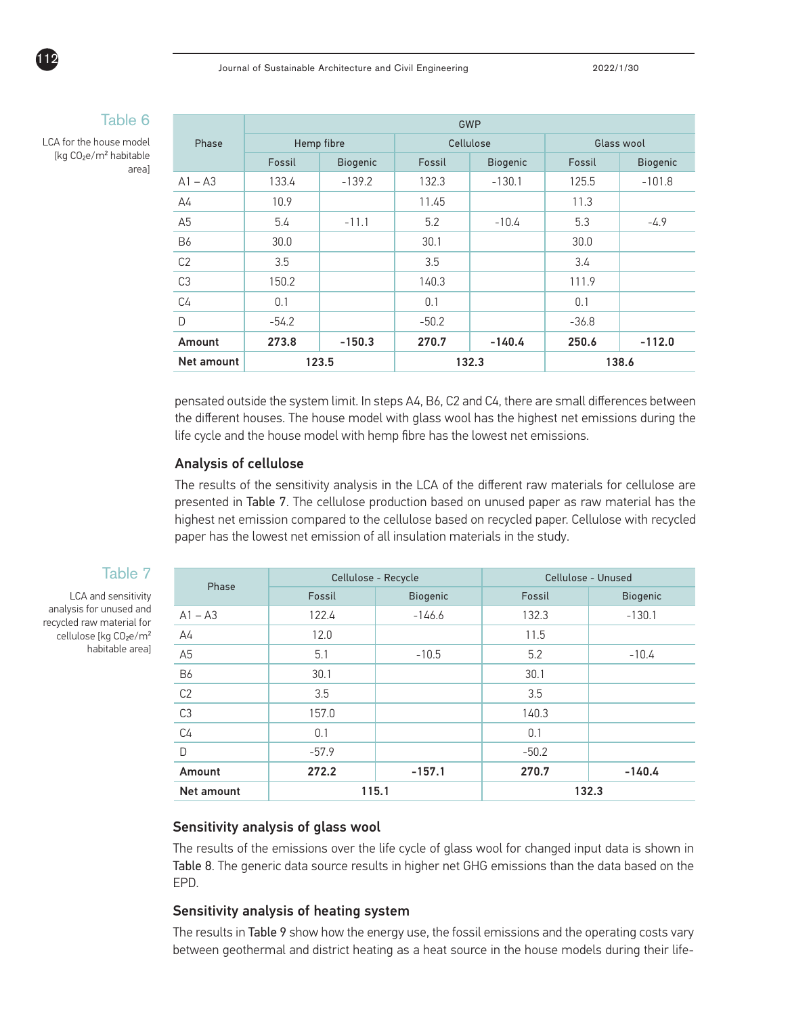|       | $\frac{1}{2}$ |
|-------|---------------|
|       | ٠             |
| ----- |               |
|       |               |

LCA for the house model [kg CO₂e/m² habitable area]

112

|                | GWP        |          |         |                 |         |            |  |
|----------------|------------|----------|---------|-----------------|---------|------------|--|
| Phase          | Hemp fibre |          |         | Cellulose       |         | Glass wool |  |
|                | Fossil     | Biogenic | Fossil  | <b>Biogenic</b> | Fossil  | Biogenic   |  |
| $A1 - A3$      | 133.4      | $-139.2$ | 132.3   | $-130.1$        | 125.5   | $-101.8$   |  |
| A4             | 10.9       |          | 11.45   |                 | 11.3    |            |  |
| A5             | 5.4        | $-11.1$  | 5.2     | $-10.4$         | 5.3     | $-4.9$     |  |
| <b>B6</b>      | 30.0       |          | 30.1    |                 | 30.0    |            |  |
| C <sub>2</sub> | 3.5        |          | 3.5     |                 | 3.4     |            |  |
| C <sub>3</sub> | 150.2      |          | 140.3   |                 | 111.9   |            |  |
| C <sub>4</sub> | 0.1        |          | 0.1     |                 | 0.1     |            |  |
| D              | $-54.2$    |          | $-50.2$ |                 | $-36.8$ |            |  |
| Amount         | 273.8      | $-150.3$ | 270.7   | $-140.4$        | 250.6   | $-112.0$   |  |
| Net amount     |            | 123.5    |         | 132.3           |         | 138.6      |  |

pensated outside the system limit. In steps A4, B6, C2 and C4, there are small differences between the different houses. The house model with glass wool has the highest net emissions during the life cycle and the house model with hemp fibre has the lowest net emissions.

#### Analysis of cellulose

The results of the sensitivity analysis in the LCA of the different raw materials for cellulose are presented in Table 7. The cellulose production based on unused paper as raw material has the highest net emission compared to the cellulose based on recycled paper. Cellulose with recycled paper has the lowest net emission of all insulation materials in the study.

|                   |         | Cellulose - Recycle |         | Cellulose - Unused |
|-------------------|---------|---------------------|---------|--------------------|
| Phase             | Fossil  | <b>Biogenic</b>     | Fossil  | <b>Biogenic</b>    |
| $A1 - A3$         | 122.4   | $-146.6$            | 132.3   | $-130.1$           |
| $\mathsf{A}4$     | 12.0    |                     | 11.5    |                    |
| A <sub>5</sub>    | 5.1     | $-10.5$             | 5.2     | $-10.4$            |
| <b>B6</b>         | 30.1    |                     | 30.1    |                    |
| C <sub>2</sub>    | 3.5     |                     | 3.5     |                    |
| C <sub>3</sub>    | 157.0   |                     | 140.3   |                    |
| C <sub>4</sub>    | 0.1     |                     | 0.1     |                    |
| $\Box$            | $-57.9$ |                     | $-50.2$ |                    |
| Amount            | 272.2   | $-157.1$            | 270.7   | $-140.4$           |
| <b>Net amount</b> | 115.1   |                     |         | 132.3              |

#### Sensitivity analysis of glass wool

The results of the emissions over the life cycle of glass wool for changed input data is shown in Table 8. The generic data source results in higher net GHG emissions than the data based on the EPD.

### Sensitivity analysis of heating system

The results in Table 9 show how the energy use, the fossil emissions and the operating costs vary between geothermal and district heating as a heat source in the house models during their life-

# Table 7

LCA and sensitivity analysis for unused and recycled raw material for cellulose [kg CO<sub>2</sub>e/m<sup>2</sup> habitable area]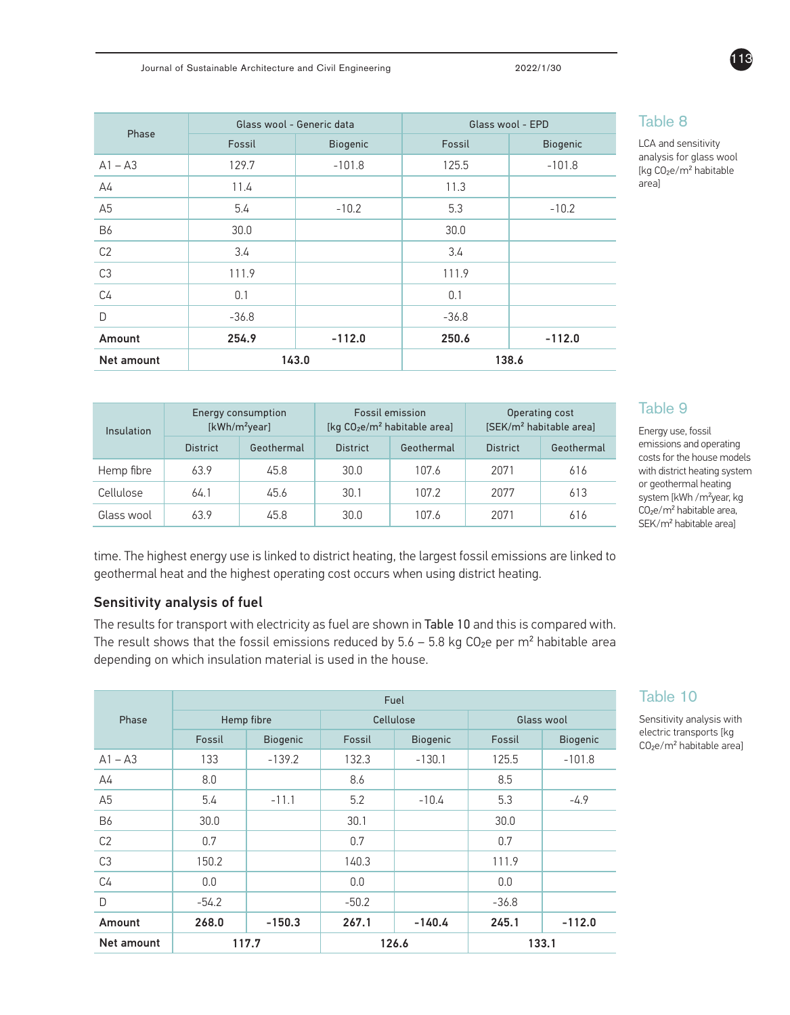Energy consumption

| Phase             | Glass wool - Generic data |                 | Glass wool - EPD |                 |  |
|-------------------|---------------------------|-----------------|------------------|-----------------|--|
|                   | Fossil                    | <b>Biogenic</b> | Fossil           | <b>Biogenic</b> |  |
| $A1 - A3$         | 129.7                     | $-101.8$        | 125.5            | $-101.8$        |  |
| $\mathsf{A}4$     | 11.4                      |                 | 11.3             |                 |  |
| A <sub>5</sub>    | 5.4                       | $-10.2$         | 5.3              | $-10.2$         |  |
| <b>B6</b>         | 30.0                      |                 | 30.0             |                 |  |
| C <sub>2</sub>    | 3.4                       |                 | 3.4              |                 |  |
| C <sub>3</sub>    | 111.9                     |                 | 111.9            |                 |  |
| C <sub>4</sub>    | 0.1                       |                 | 0.1              |                 |  |
| D                 | $-36.8$                   |                 | $-36.8$          |                 |  |
| Amount            | 254.9                     | $-112.0$        | 250.6            | $-112.0$        |  |
| <b>Net amount</b> | 143.0                     |                 |                  | 138.6           |  |

# Table 8

LCA and sensitivity analysis for glass wool [kg CO₂e/m² habitable area]

# Table 9

Operating cost

Energy use, fossil emissions and operating costs for the house models with district heating system or geothermal heating system [kWh / m<sup>2</sup>year, kg CO<sub>2</sub>e/m<sup>2</sup> habitable area, SEK/m² habitable area]

| Insulation | [kWh/m <sup>2</sup> year] |            | [kg $CO2e/m2$ habitable area] |            | [SEK/m <sup>2</sup> habitable area] |            |
|------------|---------------------------|------------|-------------------------------|------------|-------------------------------------|------------|
|            | <b>District</b>           | Geothermal | <b>District</b>               | Geothermal | <b>District</b>                     | Geothermal |
| Hemp fibre | 63.9                      | 45.8       | 30.0                          | 107.6      | 2071                                | 616        |
| Cellulose  | 64.1                      | 45.6       | 30.1                          | 107.2      | 2077                                | 613        |
| Glass wool | 63.9                      | 45.8       | 30.0                          | 107.6      | 2071                                | 616        |

Fossil emission

time. The highest energy use is linked to district heating, the largest fossil emissions are linked to geothermal heat and the highest operating cost occurs when using district heating.

### Sensitivity analysis of fuel

The results for transport with electricity as fuel are shown in Table 10 and this is compared with. The result shows that the fossil emissions reduced by  $5.6 - 5.8$  kg  $CO<sub>2</sub>e$  per m<sup>2</sup> habitable area depending on which insulation material is used in the house.

|                | Fuel       |                 |           |                 |            |                 |
|----------------|------------|-----------------|-----------|-----------------|------------|-----------------|
| Phase          | Hemp fibre |                 | Cellulose |                 | Glass wool |                 |
|                | Fossil     | <b>Biogenic</b> | Fossil    | <b>Biogenic</b> | Fossil     | <b>Biogenic</b> |
| $A1 - A3$      | 133        | $-139.2$        | 132.3     | $-130.1$        | 125.5      | $-101.8$        |
| A4             | 8.0        |                 | 8.6       |                 | 8.5        |                 |
| A5             | 5.4        | $-11.1$         | 5.2       | $-10.4$         | 5.3        | $-4.9$          |
| <b>B6</b>      | 30.0       |                 | 30.1      |                 | 30.0       |                 |
| C <sub>2</sub> | 0.7        |                 | 0.7       |                 | 0.7        |                 |
| C <sub>3</sub> | 150.2      |                 | 140.3     |                 | 111.9      |                 |
| C <sub>4</sub> | 0.0        |                 | 0.0       |                 | 0.0        |                 |
| D              | $-54.2$    |                 | $-50.2$   |                 | $-36.8$    |                 |
| Amount         | 268.0      | $-150.3$        | 267.1     | $-140.4$        | 245.1      | $-112.0$        |
| Net amount     |            | 117.7           |           | 126.6           |            | 133.1           |

# Table 10

Sensitivity analysis with electric transports [kg CO<sub>2</sub>e/m<sup>2</sup> habitable area]

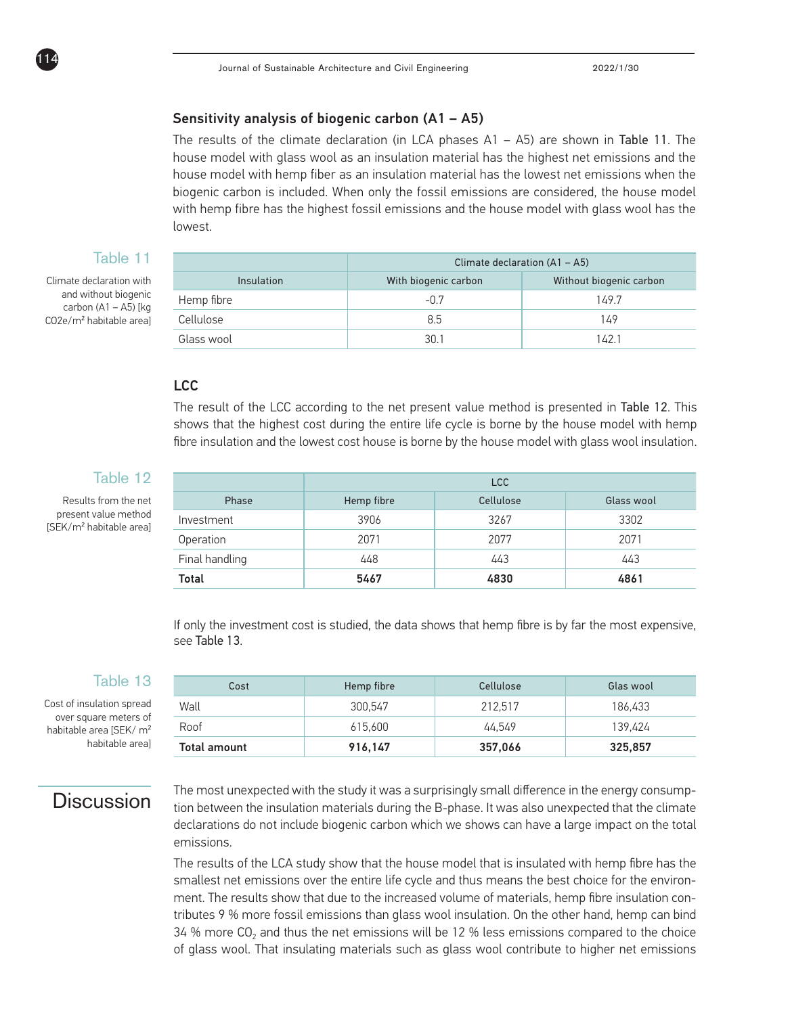#### Sensitivity analysis of biogenic carbon (A1 – A5)

The results of the climate declaration (in LCA phases  $A1 - A5$ ) are shown in Table 11. The house model with glass wool as an insulation material has the highest net emissions and the house model with hemp fiber as an insulation material has the lowest net emissions when the biogenic carbon is included. When only the fossil emissions are considered, the house model with hemp fibre has the highest fossil emissions and the house model with glass wool has the lowest.

### Table 11

Climate declaration with and without biogenic carbon  $(A1 - A5)$  [kg CO2e/m² habitable area]

114

|                   | Climate declaration $(A1 - A5)$ |                         |  |  |
|-------------------|---------------------------------|-------------------------|--|--|
| <b>Insulation</b> | With biogenic carbon            | Without biogenic carbon |  |  |
| Hemp fibre        | $-0.7$                          | 149.7                   |  |  |
| Cellulose         | 8.5                             | 149                     |  |  |
| Glass wool        | 301                             | 142.1                   |  |  |

#### LCC

The result of the LCC according to the net present value method is presented in Table 12. This shows that the highest cost during the entire life cycle is borne by the house model with hemp fibre insulation and the lowest cost house is borne by the house model with glass wool insulation.

### Table 12

Results from the net present value method [SEK/m² habitable area]

|                | <b>LCC</b> |           |            |
|----------------|------------|-----------|------------|
| Phase          | Hemp fibre | Cellulose | Glass wool |
| Investment     | 3906       | 3267      | 3302       |
| Operation      | 2071       | 2077      | 2071       |
| Final handling | 448        | 443       | 443        |
| Total          | 5467       | 4830      | 4861       |

If only the investment cost is studied, the data shows that hemp fibre is by far the most expensive, see Table 13.

### Table 13

Cost of insulation spread over square meters of habitable area [SEK/ m² habitable area]

# Cost **Hemp fibre** Cellulose Glas wool Wall 300,547 | 212,517 | 186,433 | 200,547 | 200,547 | 212,517 | 186,433 Roof 615,600 44,549 139,424 Total amount 916,147 357,066 325,857

# **Discussion**

The most unexpected with the study it was a surprisingly small difference in the energy consumption between the insulation materials during the B-phase. It was also unexpected that the climate declarations do not include biogenic carbon which we shows can have a large impact on the total emissions.

The results of the LCA study show that the house model that is insulated with hemp fibre has the smallest net emissions over the entire life cycle and thus means the best choice for the environment. The results show that due to the increased volume of materials, hemp fibre insulation contributes 9 % more fossil emissions than glass wool insulation. On the other hand, hemp can bind 34 % more CO<sub>2</sub> and thus the net emissions will be 12 % less emissions compared to the choice of glass wool. That insulating materials such as glass wool contribute to higher net emissions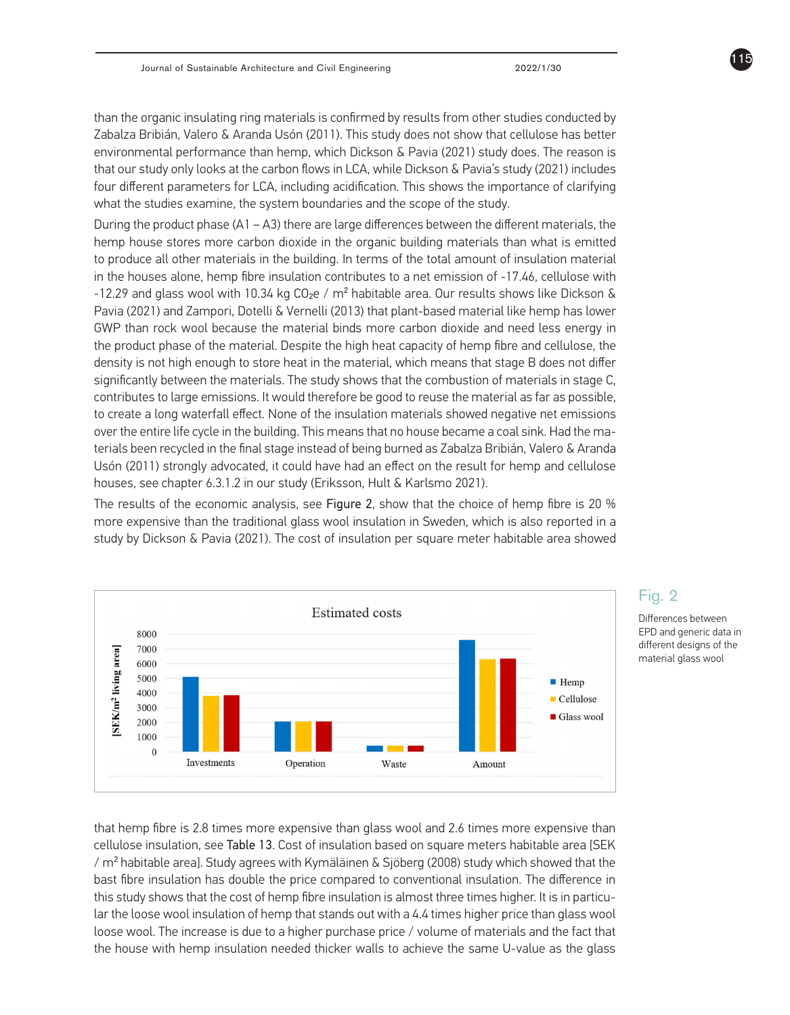than the organic insulating ring materials is confirmed by results from other studies conducted by Zabalza Bribián, Valero & Aranda Usón (2011). This study does not show that cellulose has better environmental performance than hemp, which Dickson & Pavia (2021) study does. The reason is that our study only looks at the carbon flows in LCA, while Dickson & Pavia's study (2021) includes four different parameters for LCA, including acidification. This shows the importance of clarifying what the studies examine, the system boundaries and the scope of the study.

During the product phase  $(A1 - A3)$  there are large differences between the different materials, the hemp house stores more carbon dioxide in the organic building materials than what is emitted to produce all other materials in the building. In terms of the total amount of insulation material in the houses alone, hemp fibre insulation contributes to a net emission of -17.46, cellulose with -12.29 and glass wool with 10.34 kg CO<sub>2</sub>e / m<sup>2</sup> habitable area. Our results shows like Dickson & Pavia (2021) and Zampori, Dotelli & Vernelli (2013) that plant-based material like hemp has lower GWP than rock wool because the material binds more carbon dioxide and need less energy in the product phase of the material. Despite the high heat capacity of hemp fibre and cellulose, the density is not high enough to store heat in the material, which means that stage B does not differ significantly between the materials. The study shows that the combustion of materials in stage C, contributes to large emissions. It would therefore be good to reuse the material as far as possible, to create a long waterfall effect. None of the insulation materials showed negative net emissions over the entire life cycle in the building. This means that no house became a coal sink. Had the materials been recycled in the final stage instead of being burned as Zabalza Bribián, Valero & Aranda Usón (2011) strongly advocated, it could have had an effect on the result for hemp and cellulose houses, see chapter 6.3.1.2 in our study (Eriksson, Hult & Karlsmo 2021).

The results of the economic analysis, see Figure 2, show that the choice of hemp fibre is 20 % more expensive than the traditional glass wool insulation in Sweden, which is also reported in a study by Dickson & Pavia (2021). The cost of insulation per square meter habitable area showed



### that hemp fibre is 2.8 times more expensive than glass wool and 2.6 times more expensive than cellulose insulation, see Table 13. Cost of insulation based on square meters habitable area [SEK  $/m<sup>2</sup>$  habitable area]. Study agrees with Kymäläinen & Sjöberg (2008) study which showed that the bast fibre insulation has double the price compared to conventional insulation. The difference in this study shows that the cost of hemp fibre insulation is almost three times higher. It is in particular the loose wool insulation of hemp that stands out with a 4.4 times higher price than glass wool loose wool. The increase is due to a higher purchase price / volume of materials and the fact that the house with hemp insulation needed thicker walls to achieve the same U-value as the glass

### Fig. 2

Differences between EPD and generic data in different designs of the material glass wool

115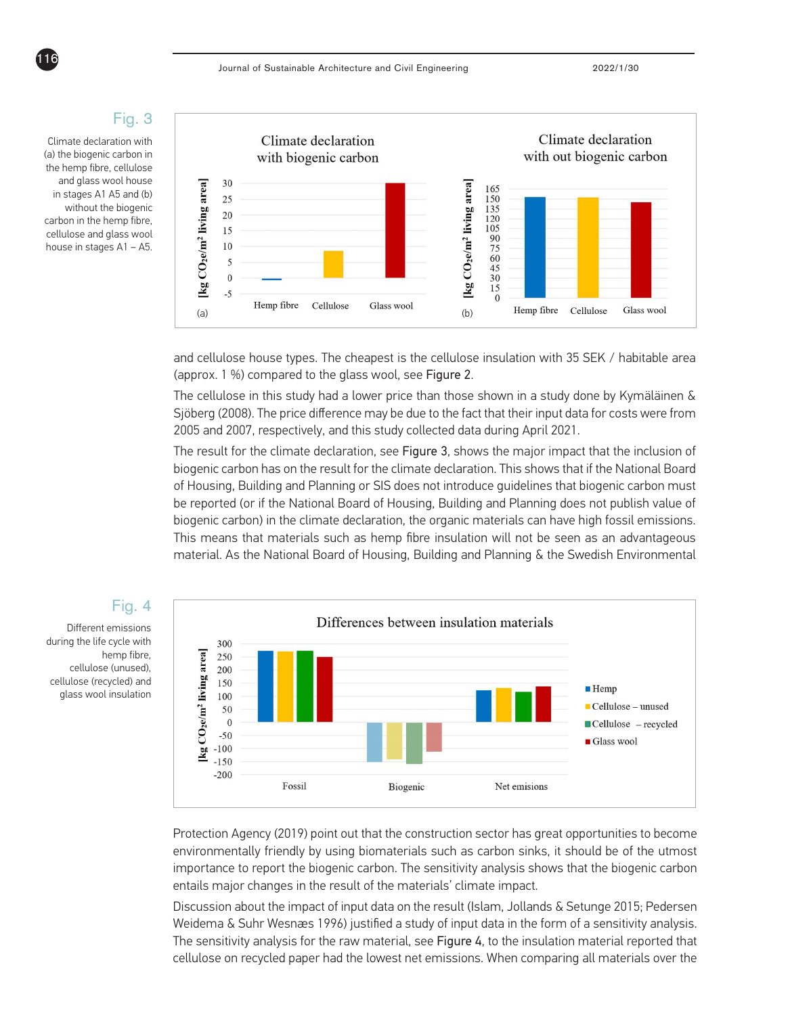# Fig. 3

Climate declaration with (a) the biogenic carbon in the hemp fibre, cellulose and glass wool house in stages A1 A5 and (b) without the biogenic carbon in the hemp fibre, cellulose and glass wool house in stages A1 – A5.

116



and cellulose house types. The cheapest is the cellulose insulation with 35 SEK / habitable area (approx. 1 %) compared to the glass wool, see Figure 2.

The cellulose in this study had a lower price than those shown in a study done by Kymäläinen & Sjöberg (2008). The price difference may be due to the fact that their input data for costs were from 2005 and 2007, respectively, and this study collected data during April 2021.

The result for the climate declaration, see Figure 3, shows the major impact that the inclusion of biogenic carbon has on the result for the climate declaration. This shows that if the National Board of Housing, Building and Planning or SIS does not introduce guidelines that biogenic carbon must be reported (or if the National Board of Housing, Building and Planning does not publish value of biogenic carbon) in the climate declaration, the organic materials can have high fossil emissions. This means that materials such as hemp fibre insulation will not be seen as an advantageous material. As the National Board of Housing, Building and Planning & the Swedish Environmental



Protection Agency (2019) point out that the construction sector has great opportunities to become environmentally friendly by using biomaterials such as carbon sinks, it should be of the utmost importance to report the biogenic carbon. The sensitivity analysis shows that the biogenic carbon entails major changes in the result of the materials' climate impact.

Discussion about the impact of input data on the result (Islam, Jollands & Setunge 2015; Pedersen Weidema & Suhr Wesnæs 1996) justified a study of input data in the form of a sensitivity analysis. The sensitivity analysis for the raw material, see Figure 4, to the insulation material reported that cellulose on recycled paper had the lowest net emissions. When comparing all materials over the

# Fig. 4

Different emissions during the life cycle with hemp fibre, cellulose (unused), cellulose (recycled) and glass wool insulation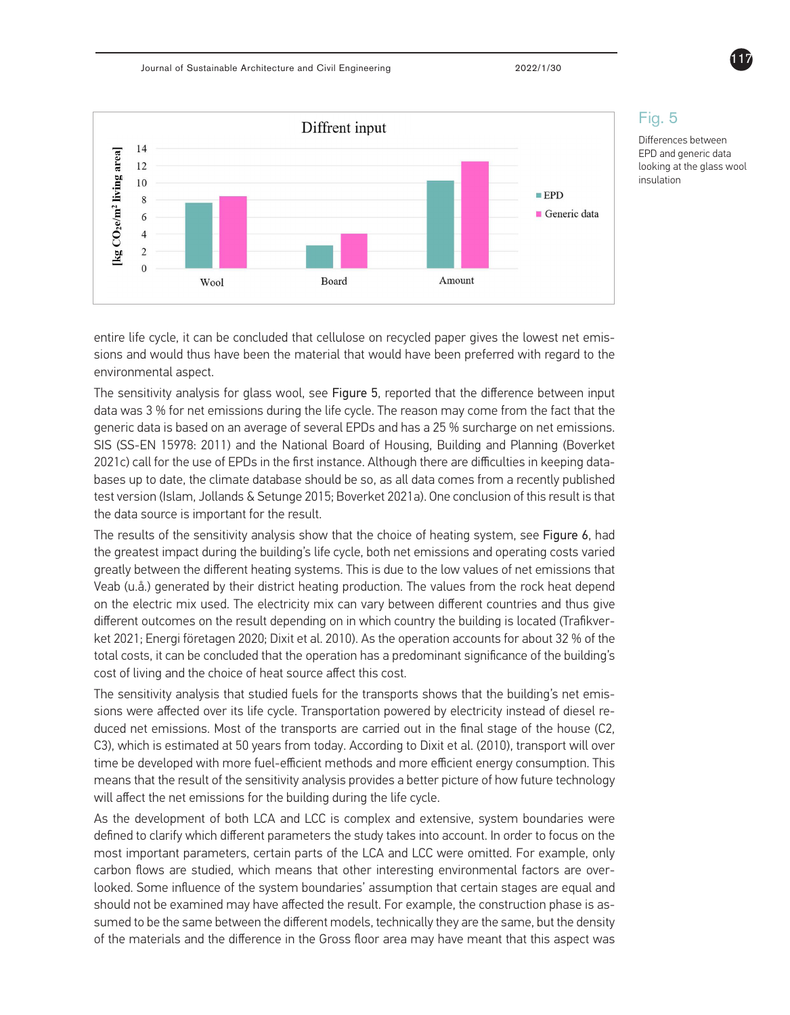

### Fig. 5

Differences between EPD and generic data looking at the glass wool insulation

entire life cycle, it can be concluded that cellulose on recycled paper gives the lowest net emissions and would thus have been the material that would have been preferred with regard to the environmental aspect.

The sensitivity analysis for glass wool, see Figure 5, reported that the difference between input data was 3 % for net emissions during the life cycle. The reason may come from the fact that the generic data is based on an average of several EPDs and has a 25 % surcharge on net emissions. SIS (SS-EN 15978: 2011) and the National Board of Housing, Building and Planning (Boverket 2021c) call for the use of EPDs in the first instance. Although there are difficulties in keeping databases up to date, the climate database should be so, as all data comes from a recently published test version (Islam, Jollands & Setunge 2015; Boverket 2021a). One conclusion of this result is that the data source is important for the result.

The results of the sensitivity analysis show that the choice of heating system, see Figure 6, had the greatest impact during the building's life cycle, both net emissions and operating costs varied greatly between the different heating systems. This is due to the low values of net emissions that Veab (u.å.) generated by their district heating production. The values from the rock heat depend on the electric mix used. The electricity mix can vary between different countries and thus give different outcomes on the result depending on in which country the building is located (Trafikverket 2021; Energi företagen 2020; Dixit et al. 2010). As the operation accounts for about 32 % of the total costs, it can be concluded that the operation has a predominant significance of the building's cost of living and the choice of heat source affect this cost.

The sensitivity analysis that studied fuels for the transports shows that the building's net emissions were affected over its life cycle. Transportation powered by electricity instead of diesel reduced net emissions. Most of the transports are carried out in the final stage of the house (C2, C3), which is estimated at 50 years from today. According to Dixit et al. (2010), transport will over time be developed with more fuel-efficient methods and more efficient energy consumption. This means that the result of the sensitivity analysis provides a better picture of how future technology will affect the net emissions for the building during the life cycle.

As the development of both LCA and LCC is complex and extensive, system boundaries were defined to clarify which different parameters the study takes into account. In order to focus on the most important parameters, certain parts of the LCA and LCC were omitted. For example, only carbon flows are studied, which means that other interesting environmental factors are overlooked. Some influence of the system boundaries' assumption that certain stages are equal and should not be examined may have affected the result. For example, the construction phase is assumed to be the same between the different models, technically they are the same, but the density of the materials and the difference in the Gross floor area may have meant that this aspect was

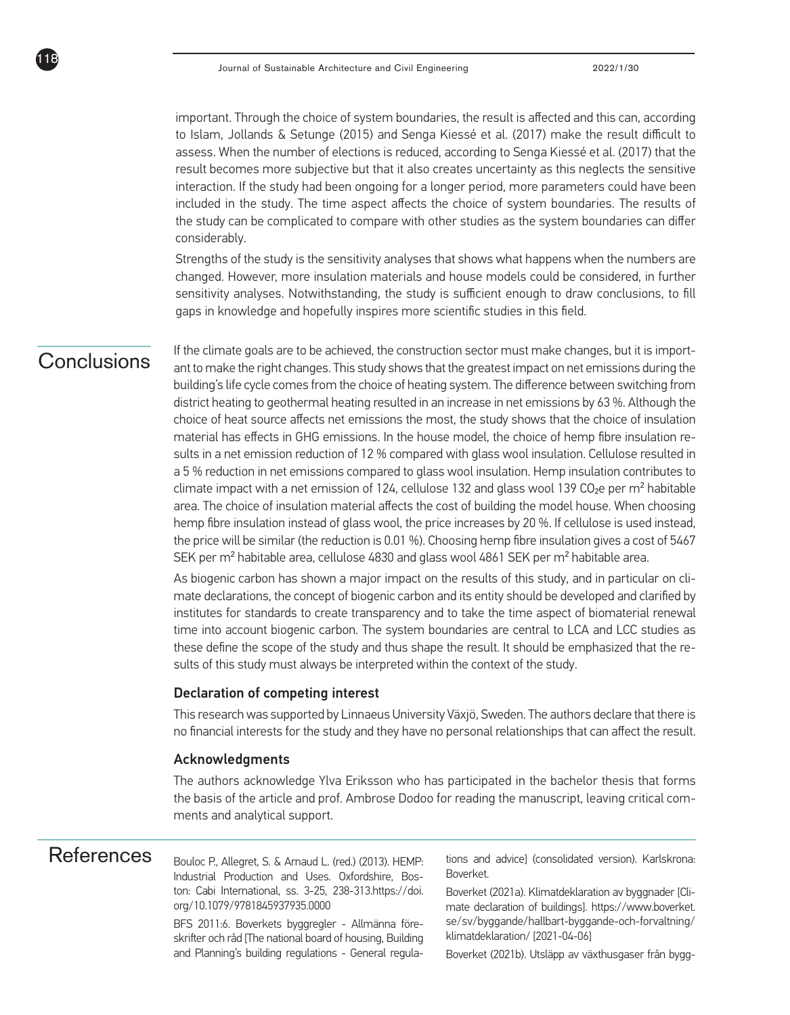important. Through the choice of system boundaries, the result is affected and this can, according to Islam, Jollands & Setunge (2015) and Senga Kiessé et al. (2017) make the result difficult to assess. When the number of elections is reduced, according to Senga Kiessé et al. (2017) that the result becomes more subjective but that it also creates uncertainty as this neglects the sensitive interaction. If the study had been ongoing for a longer period, more parameters could have been included in the study. The time aspect affects the choice of system boundaries. The results of the study can be complicated to compare with other studies as the system boundaries can differ considerably.

Strengths of the study is the sensitivity analyses that shows what happens when the numbers are changed. However, more insulation materials and house models could be considered, in further sensitivity analyses. Notwithstanding, the study is sufficient enough to draw conclusions, to fill gaps in knowledge and hopefully inspires more scientific studies in this field.

# Conclusions

118

If the climate goals are to be achieved, the construction sector must make changes, but it is important to make the right changes. This study shows that the greatest impact on net emissions during the building's life cycle comes from the choice of heating system. The difference between switching from district heating to geothermal heating resulted in an increase in net emissions by 63 %. Although the choice of heat source affects net emissions the most, the study shows that the choice of insulation material has effects in GHG emissions. In the house model, the choice of hemp fibre insulation results in a net emission reduction of 12 % compared with glass wool insulation. Cellulose resulted in a 5 % reduction in net emissions compared to glass wool insulation. Hemp insulation contributes to climate impact with a net emission of 124, cellulose 132 and glass wool 139 CO<sub>2</sub>e per m<sup>2</sup> habitable area. The choice of insulation material affects the cost of building the model house. When choosing hemp fibre insulation instead of glass wool, the price increases by 20 %. If cellulose is used instead, the price will be similar (the reduction is 0.01 %). Choosing hemp fibre insulation gives a cost of 5467 SEK per m<sup>2</sup> habitable area, cellulose 4830 and glass wool 4861 SEK per m<sup>2</sup> habitable area.

As biogenic carbon has shown a major impact on the results of this study, and in particular on climate declarations, the concept of biogenic carbon and its entity should be developed and clarified by institutes for standards to create transparency and to take the time aspect of biomaterial renewal time into account biogenic carbon. The system boundaries are central to LCA and LCC studies as these define the scope of the study and thus shape the result. It should be emphasized that the results of this study must always be interpreted within the context of the study.

#### Declaration of competing interest

This research was supported by Linnaeus University Växjö, Sweden. The authors declare that there is no financial interests for the study and they have no personal relationships that can affect the result.

#### Acknowledgments

The authors acknowledge Ylva Eriksson who has participated in the bachelor thesis that forms the basis of the article and prof. Ambrose Dodoo for reading the manuscript, leaving critical comments and analytical support.

Bouloc P., Allegret, S. & Arnaud L. (red.) (2013). HEMP: Industrial Production and Uses. Oxfordshire, Boston: Cabi International, ss. 3-25, 238-313.https://doi. org/10.1079/9781845937935.0000

BFS 2011:6. Boverkets byggregler - Allmänna föreskrifter och råd [The national board of housing, Building and Planning's building regulations - General regula-

References Rouloc P Allegret S & Arnaud L (red.) (2013) HEMP. tions and advice] (consolidated version). Karlskrona: Boverket.

> Boverket (2021a). Klimatdeklaration av byggnader [Climate declaration of buildings]. https://www.boverket. se/sv/byggande/hallbart-byggande-och-forvaltning/ klimatdeklaration/ [2021-04-06]

> Boverket (2021b). Utsläpp av växthusgaser från bygg-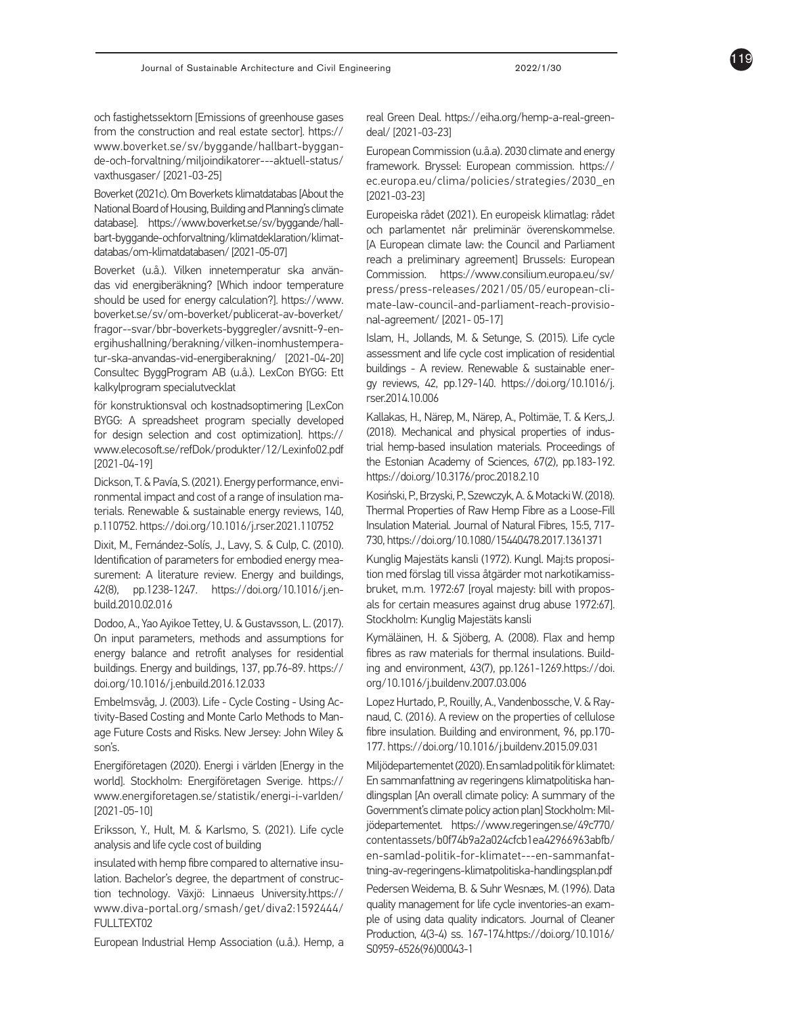och fastighetssektorn [Emissions of greenhouse gases from the construction and real estate sector]. https:// www.boverket.se/sv/byggande/hallbart-byggan de-och-forvaltning/miljoindikatorer---aktuell-status/ vaxthusgaser/ [2021-03-25]

Boverket (2021c). Om Boverkets klimatdatabas [About the National Board of Housing, Building and Planning's climate database]. https://www.boverket.se/sv/byggande/hall bart-byggande-ochforvaltning/klimatdeklaration/klimat databas/om-klimatdatabasen/ [2021-05-07]

Boverket (u.å.). Vilken innetemperatur ska använ das vid energiberäkning? [Which indoor temperature should be used for energy calculation?]. https://www. boverket.se/sv/om-boverket/publicerat-av-boverket/ fragor--svar/bbr-boverkets-byggregler/avsnitt-9-en ergihushallning/berakning/vilken-inomhustempera tur-ska-anvandas-vid-energiberakning/ [2021-04-20] Consultec ByggProgram AB (u.å.). LexCon BYGG: Ett kalkylprogram specialutvecklat

för konstruktionsval och kostnadsoptimering [LexCon BYGG: A spreadsheet program specially developed for design selection and cost optimization]. https:// www.elecosoft.se/refDok/produkter/12/Lexinfo02.pdf [2021-04-19]

Dickson, T. & Pavía, S. (2021). Energy performance, envi ronmental impact and cost of a range of insulation ma terials. Renewable & sustainable energy reviews, 140, p.110752. https://doi.org/10.1016/j.rser.2021.110752

Dixit, M., Fernández-Solís, J., Lavy, S. & Culp, C. (2010). Identification of parameters for embodied energy mea surement: A literature review. Energy and buildings, 42(8), pp.1238-1247. https://doi.org/10.1016/j.en build.2010.02.016

Dodoo, A., Yao Ayikoe Tettey, U. & Gustavsson, L. (2017). On input parameters, methods and assumptions for energy balance and retrofit analyses for residential buildings. Energy and buildings, 137, pp.76-89. https:// doi.org/10.1016/j.enbuild.2016.12.033

Embelmsvåg, J. (2003). Life - Cycle Costing - Using Ac tivity-Based Costing and Monte Carlo Methods to Man age Future Costs and Risks. New Jersey: John Wiley & son's.

Energiföretagen (2020). Energi i världen [Energy in the world]. Stockholm: Energiföretagen Sverige. https:// www.energiforetagen.se/statistik/energi-i-varlden/ [2021-05-10]

Eriksson, Y., Hult, M. & Karlsmo, S. (2021). Life cycle analysis and life cycle cost of building

insulated with hemp fibre compared to alternative insu lation. Bachelor's degree, the department of construc tion technology. Växjö: Linnaeus University.https:// www.diva-portal.org/smash/get/diva2:1592444/ FULLTEXT02

European Industrial Hemp Association (u.å.). Hemp, a

real Green Deal. https://eiha.org/hemp-a-real-greendeal/ [2021-03-23]

European Commission (u.å.a). 2030 climate and energy framework. Bryssel: European commission. https:// ec.europa.eu/clima/policies/strategies/2030\_en [2021-03-23]

Europeiska rådet (2021). En europeisk klimatlag: rådet och parlamentet når preliminär överenskommelse. [A European climate law: the Council and Parliament reach a preliminary agreement] Brussels: European Commission. https://www.consilium.europa.eu/sv/ press/press-releases/2021/05/05/european-cli mate-law-council-and-parliament-reach-provisio nal-agreement/ [2021- 05-17]

Islam, H., Jollands, M. & Setunge, S. (2015). Life cycle assessment and life cycle cost implication of residential buildings - A review. Renewable & sustainable ener gy reviews, 42, pp.129-140. https://doi.org/10.1016/j. rser.2014.10.006

Kallakas, H., Närep, M., Närep, A., Poltimäe, T. & Kers,J. (2018). Mechanical and physical properties of indus trial hemp-based insulation materials. Proceedings of the Estonian Academy of Sciences, 67(2), pp.183-192. https://doi.org/10.3176/proc.2018.2.10

Kosiński, P., Brzyski, P., Szewczyk, A. & Motacki W. (2018). Thermal Properties of Raw Hemp Fibre as a Loose-Fill Insulation Material. Journal of Natural Fibres, 15:5, 717- 730, https://doi.org/10.1080/15440478.2017.1361371

Kunglig Majestäts kansli (1972). Kungl. Maj:ts proposi tion med förslag till vissa åtgärder mot narkotikamiss bruket, m.m. 1972:67 [royal majesty: bill with propos als for certain measures against drug abuse 1972:67]. Stockholm: Kunglig Majestäts kansli

Kymäläinen, H. & Sjöberg, A. (2008). Flax and hemp fibres as raw materials for thermal insulations. Build ing and environment, 43(7), pp.1261-1269.https://doi. org/10.1016/j.buildenv.2007.03.006

Lopez Hurtado, P., Rouilly, A., Vandenbossche, V. & Ray naud, C. (2016). A review on the properties of cellulose fibre insulation. Building and environment, 96, pp.170- 177. https://doi.org/10.1016/j.buildenv.2015.09.031

Miljödepartementet (2020). En samlad politik för klimatet: En sammanfattning av regeringens klimatpolitiska han dlingsplan [An overall climate policy: A summary of the Government's climate policy action plan] Stockholm: Mil jödepartementet. https://www.regeringen.se/49c770/ contentassets/b0f74b9a2a024cfcb1ea42966963abfb/ en-samlad-politik-for-klimatet---en-sammanfat tning-av-regeringens-klimatpolitiska-handlingsplan.pdf Pedersen Weidema, B. & Suhr Wesnæs, M. (1996). Data quality management for life cycle inventories-an exam ple of using data quality indicators. Journal of Cleaner Production, 4(3-4) ss. 167-174.https://doi.org/10.1016/ S0959-6526(96)00043-1